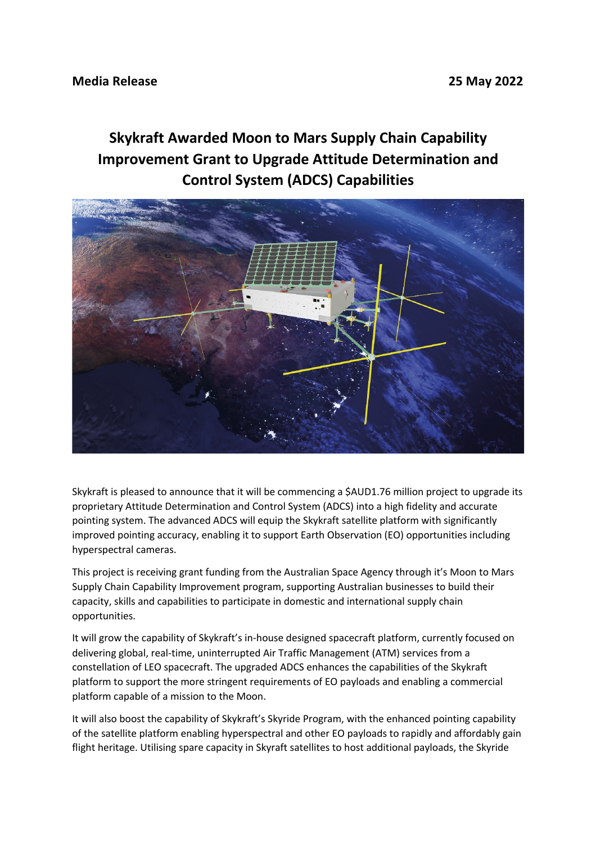## **Skykraft Awarded Moon to Mars Supply Chain Capability Improvement Grant to Upgrade Attitude Determination and Control System (ADCS) Capabilities**



Skykraft is pleased to announce that it will be commencing a \$AUD1.76 million project to upgrade its proprietary Attitude Determination and Control System (ADCS) into a high fidelity and accurate pointing system. The advanced ADCS will equip the Skykraft satellite platform with significantly improved pointing accuracy, enabling it to support Earth Observation (EO) opportunities including hyperspectral cameras.

This project is receiving grant funding from the Australian Space Agency through it's Moon to Mars Supply Chain Capability Improvement program, supporting Australian businesses to build their capacity, skills and capabilities to participate in domestic and international supply chain opportunities.

It will grow the capability of Skykraft's in-house designed spacecraft platform, currently focused on delivering global, real-time, uninterrupted Air Traffic Management (ATM) services from a constellation of LEO spacecraft. The upgraded ADCS enhances the capabilities of the Skykraft platform to support the more stringent requirements of EO payloads and enabling a commercial platform capable of a mission to the Moon.

It will also boost the capability of Skykraft's Skyride Program, with the enhanced pointing capability of the satellite platform enabling hyperspectral and other EO payloads to rapidly and affordably gain flight heritage. Utilising spare capacity in Skyraft satellites to host additional payloads, the Skyride